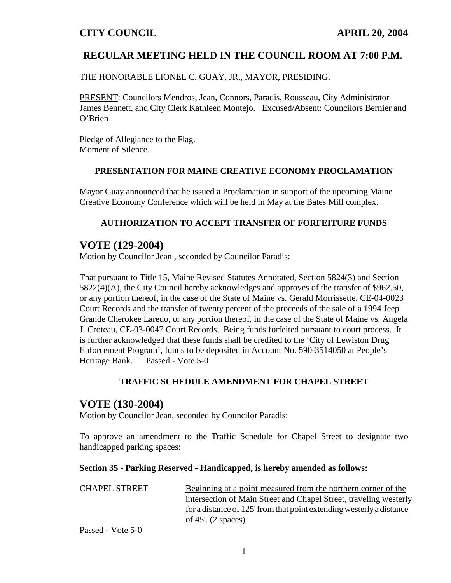## **REGULAR MEETING HELD IN THE COUNCIL ROOM AT 7:00 P.M.**

THE HONORABLE LIONEL C. GUAY, JR., MAYOR, PRESIDING.

PRESENT: Councilors Mendros, Jean, Connors, Paradis, Rousseau, City Administrator James Bennett, and City Clerk Kathleen Montejo. Excused/Absent: Councilors Bernier and O'Brien

Pledge of Allegiance to the Flag. Moment of Silence.

#### **PRESENTATION FOR MAINE CREATIVE ECONOMY PROCLAMATION**

Mayor Guay announced that he issued a Proclamation in support of the upcoming Maine Creative Economy Conference which will be held in May at the Bates Mill complex.

### **AUTHORIZATION TO ACCEPT TRANSFER OF FORFEITURE FUNDS**

## **VOTE (129-2004)**

Motion by Councilor Jean , seconded by Councilor Paradis:

That pursuant to Title 15, Maine Revised Statutes Annotated, Section 5824(3) and Section 5822(4)(A), the City Council hereby acknowledges and approves of the transfer of \$962.50, or any portion thereof, in the case of the State of Maine vs. Gerald Morrissette, CE-04-0023 Court Records and the transfer of twenty percent of the proceeds of the sale of a 1994 Jeep Grande Cherokee Laredo, or any portion thereof, in the case of the State of Maine vs. Angela J. Croteau, CE-03-0047 Court Records. Being funds forfeited pursuant to court process. It is further acknowledged that these funds shall be credited to the 'City of Lewiston Drug Enforcement Program', funds to be deposited in Account No. 590-3514050 at People's Heritage Bank. Passed - Vote 5-0

#### **TRAFFIC SCHEDULE AMENDMENT FOR CHAPEL STREET**

### **VOTE (130-2004)**

Motion by Councilor Jean, seconded by Councilor Paradis:

To approve an amendment to the Traffic Schedule for Chapel Street to designate two handicapped parking spaces:

#### **Section 35 - Parking Reserved - Handicapped, is hereby amended as follows:**

| <b>CHAPEL STREET</b> | Beginning at a point measured from the northern corner of the        |  |  |
|----------------------|----------------------------------------------------------------------|--|--|
|                      | intersection of Main Street and Chapel Street, traveling westerly    |  |  |
|                      | for a distance of 125' from that point extending westerly a distance |  |  |
|                      | of 45'. $(2$ spaces)                                                 |  |  |

Passed - Vote 5-0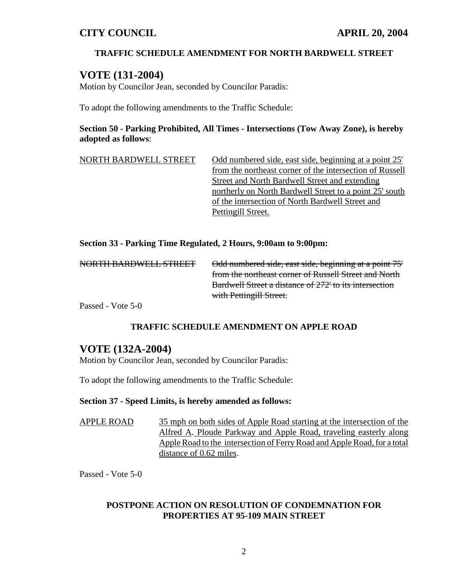### **TRAFFIC SCHEDULE AMENDMENT FOR NORTH BARDWELL STREET**

## **VOTE (131-2004)**

Motion by Councilor Jean, seconded by Councilor Paradis:

To adopt the following amendments to the Traffic Schedule:

### **Section 50 - Parking Prohibited, All Times - Intersections (Tow Away Zone), is hereby adopted as follows**:

NORTH BARDWELL STREET Odd numbered side, east side, beginning at a point 25' from the northeast corner of the intersection of Russell Street and North Bardwell Street and extending northerly on North Bardwell Street to a point 25' south of the intersection of North Bardwell Street and Pettingill Street.

#### **Section 33 - Parking Time Regulated, 2 Hours, 9:00am to 9:00pm:**

| Odd numbered side, east side, beginning at a point 75' |
|--------------------------------------------------------|
| from the northeast corner of Russell Street and North  |
| Bardwell Street a distance of 272' to its intersection |
| with Pettingill Street.                                |
|                                                        |

Passed - Vote 5-0

### **TRAFFIC SCHEDULE AMENDMENT ON APPLE ROAD**

## **VOTE (132A-2004)**

Motion by Councilor Jean, seconded by Councilor Paradis:

To adopt the following amendments to the Traffic Schedule:

#### **Section 37 - Speed Limits, is hereby amended as follows:**

APPLE ROAD 35 mph on both sides of Apple Road starting at the intersection of the Alfred A. Ploude Parkway and Apple Road, traveling easterly along Apple Road to the intersection of Ferry Road and Apple Road, for a total distance of 0.62 miles.

Passed - Vote 5-0

### **POSTPONE ACTION ON RESOLUTION OF CONDEMNATION FOR PROPERTIES AT 95-109 MAIN STREET**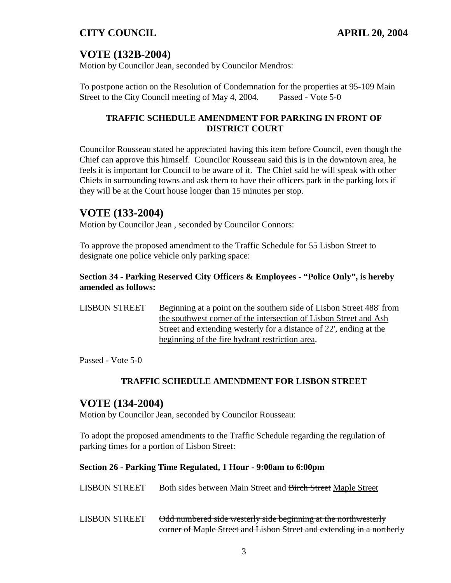# **VOTE (132B-2004)**

Motion by Councilor Jean, seconded by Councilor Mendros:

To postpone action on the Resolution of Condemnation for the properties at 95-109 Main Street to the City Council meeting of May 4, 2004. Passed - Vote 5-0

### **TRAFFIC SCHEDULE AMENDMENT FOR PARKING IN FRONT OF DISTRICT COURT**

Councilor Rousseau stated he appreciated having this item before Council, even though the Chief can approve this himself. Councilor Rousseau said this is in the downtown area, he feels it is important for Council to be aware of it. The Chief said he will speak with other Chiefs in surrounding towns and ask them to have their officers park in the parking lots if they will be at the Court house longer than 15 minutes per stop.

# **VOTE (133-2004)**

Motion by Councilor Jean , seconded by Councilor Connors:

To approve the proposed amendment to the Traffic Schedule for 55 Lisbon Street to designate one police vehicle only parking space:

### **Section 34 - Parking Reserved City Officers & Employees - "Police Only", is hereby amended as follows:**

LISBON STREET Beginning at a point on the southern side of Lisbon Street 488' from the southwest corner of the intersection of Lisbon Street and Ash Street and extending westerly for a distance of 22', ending at the beginning of the fire hydrant restriction area.

Passed - Vote 5-0

### **TRAFFIC SCHEDULE AMENDMENT FOR LISBON STREET**

## **VOTE (134-2004)**

Motion by Councilor Jean, seconded by Councilor Rousseau:

To adopt the proposed amendments to the Traffic Schedule regarding the regulation of parking times for a portion of Lisbon Street:

#### **Section 26 - Parking Time Regulated, 1 Hour - 9:00am to 6:00pm**

| <b>LISBON STREET</b> | Both sides between Main Street and Birch Street Maple Street |  |  |
|----------------------|--------------------------------------------------------------|--|--|
|                      |                                                              |  |  |

LISBON STREET Odd numbered side westerly side beginning at the northwesterly corner of Maple Street and Lisbon Street and extending in a northerly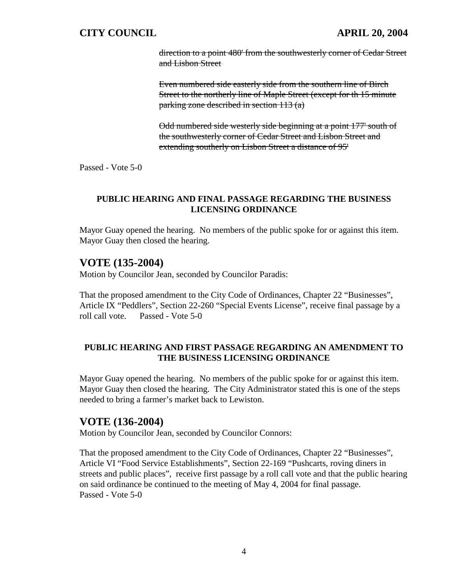direction to a point 480' from the southwesterly corner of Cedar Street and Lisbon Street

Even numbered side easterly side from the southern line of Birch Street to the northerly line of Maple Street (except for th 15 minute parking zone described in section 113 (a)

Odd numbered side westerly side beginning at a point 177' south of the southwesterly corner of Cedar Street and Lisbon Street and extending southerly on Lisbon Street a distance of 95'

Passed - Vote 5-0

#### **PUBLIC HEARING AND FINAL PASSAGE REGARDING THE BUSINESS LICENSING ORDINANCE**

Mayor Guay opened the hearing. No members of the public spoke for or against this item. Mayor Guay then closed the hearing.

## **VOTE (135-2004)**

Motion by Councilor Jean, seconded by Councilor Paradis:

That the proposed amendment to the City Code of Ordinances, Chapter 22 "Businesses", Article IX "Peddlers", Section 22-260 "Special Events License", receive final passage by a roll call vote. Passed - Vote 5-0

#### **PUBLIC HEARING AND FIRST PASSAGE REGARDING AN AMENDMENT TO THE BUSINESS LICENSING ORDINANCE**

Mayor Guay opened the hearing. No members of the public spoke for or against this item. Mayor Guay then closed the hearing. The City Administrator stated this is one of the steps needed to bring a farmer's market back to Lewiston.

# **VOTE (136-2004)**

Motion by Councilor Jean, seconded by Councilor Connors:

That the proposed amendment to the City Code of Ordinances, Chapter 22 "Businesses", Article VI "Food Service Establishments", Section 22-169 "Pushcarts, roving diners in streets and public places", receive first passage by a roll call vote and that the public hearing on said ordinance be continued to the meeting of May 4, 2004 for final passage. Passed - Vote 5-0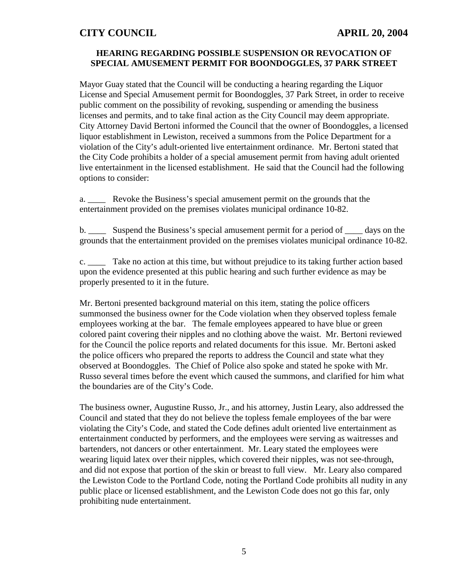### **HEARING REGARDING POSSIBLE SUSPENSION OR REVOCATION OF SPECIAL AMUSEMENT PERMIT FOR BOONDOGGLES, 37 PARK STREET**

Mayor Guay stated that the Council will be conducting a hearing regarding the Liquor License and Special Amusement permit for Boondoggles, 37 Park Street, in order to receive public comment on the possibility of revoking, suspending or amending the business licenses and permits, and to take final action as the City Council may deem appropriate. City Attorney David Bertoni informed the Council that the owner of Boondoggles, a licensed liquor establishment in Lewiston, received a summons from the Police Department for a violation of the City's adult-oriented live entertainment ordinance. Mr. Bertoni stated that the City Code prohibits a holder of a special amusement permit from having adult oriented live entertainment in the licensed establishment. He said that the Council had the following options to consider:

a. \_\_\_\_ Revoke the Business's special amusement permit on the grounds that the entertainment provided on the premises violates municipal ordinance 10-82.

b. \_\_\_\_\_ Suspend the Business's special amusement permit for a period of \_\_\_\_\_ days on the grounds that the entertainment provided on the premises violates municipal ordinance 10-82.

c. \_\_\_\_ Take no action at this time, but without prejudice to its taking further action based upon the evidence presented at this public hearing and such further evidence as may be properly presented to it in the future.

Mr. Bertoni presented background material on this item, stating the police officers summonsed the business owner for the Code violation when they observed topless female employees working at the bar. The female employees appeared to have blue or green colored paint covering their nipples and no clothing above the waist. Mr. Bertoni reviewed for the Council the police reports and related documents for this issue. Mr. Bertoni asked the police officers who prepared the reports to address the Council and state what they observed at Boondoggles. The Chief of Police also spoke and stated he spoke with Mr. Russo several times before the event which caused the summons, and clarified for him what the boundaries are of the City's Code.

The business owner, Augustine Russo, Jr., and his attorney, Justin Leary, also addressed the Council and stated that they do not believe the topless female employees of the bar were violating the City's Code, and stated the Code defines adult oriented live entertainment as entertainment conducted by performers, and the employees were serving as waitresses and bartenders, not dancers or other entertainment. Mr. Leary stated the employees were wearing liquid latex over their nipples, which covered their nipples, was not see-through, and did not expose that portion of the skin or breast to full view. Mr. Leary also compared the Lewiston Code to the Portland Code, noting the Portland Code prohibits all nudity in any public place or licensed establishment, and the Lewiston Code does not go this far, only prohibiting nude entertainment.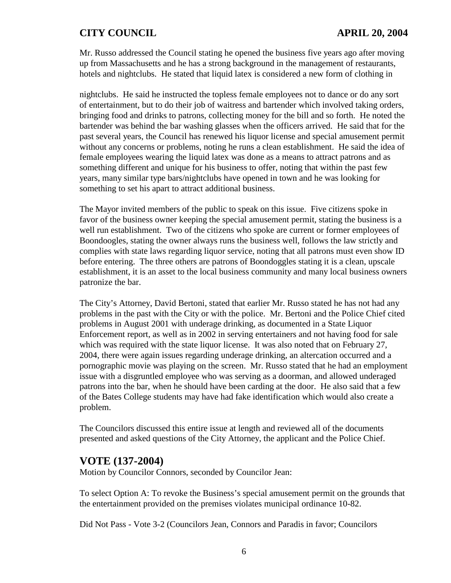Mr. Russo addressed the Council stating he opened the business five years ago after moving up from Massachusetts and he has a strong background in the management of restaurants, hotels and nightclubs. He stated that liquid latex is considered a new form of clothing in

nightclubs. He said he instructed the topless female employees not to dance or do any sort of entertainment, but to do their job of waitress and bartender which involved taking orders, bringing food and drinks to patrons, collecting money for the bill and so forth. He noted the bartender was behind the bar washing glasses when the officers arrived. He said that for the past several years, the Council has renewed his liquor license and special amusement permit without any concerns or problems, noting he runs a clean establishment. He said the idea of female employees wearing the liquid latex was done as a means to attract patrons and as something different and unique for his business to offer, noting that within the past few years, many similar type bars/nightclubs have opened in town and he was looking for something to set his apart to attract additional business.

The Mayor invited members of the public to speak on this issue. Five citizens spoke in favor of the business owner keeping the special amusement permit, stating the business is a well run establishment. Two of the citizens who spoke are current or former employees of Boondoogles, stating the owner always runs the business well, follows the law strictly and complies with state laws regarding liquor service, noting that all patrons must even show ID before entering. The three others are patrons of Boondoggles stating it is a clean, upscale establishment, it is an asset to the local business community and many local business owners patronize the bar.

The City's Attorney, David Bertoni, stated that earlier Mr. Russo stated he has not had any problems in the past with the City or with the police. Mr. Bertoni and the Police Chief cited problems in August 2001 with underage drinking, as documented in a State Liquor Enforcement report, as well as in 2002 in serving entertainers and not having food for sale which was required with the state liquor license. It was also noted that on February 27, 2004, there were again issues regarding underage drinking, an altercation occurred and a pornographic movie was playing on the screen. Mr. Russo stated that he had an employment issue with a disgruntled employee who was serving as a doorman, and allowed underaged patrons into the bar, when he should have been carding at the door. He also said that a few of the Bates College students may have had fake identification which would also create a problem.

The Councilors discussed this entire issue at length and reviewed all of the documents presented and asked questions of the City Attorney, the applicant and the Police Chief.

# **VOTE (137-2004)**

Motion by Councilor Connors, seconded by Councilor Jean:

To select Option A: To revoke the Business's special amusement permit on the grounds that the entertainment provided on the premises violates municipal ordinance 10-82.

Did Not Pass - Vote 3-2 (Councilors Jean, Connors and Paradis in favor; Councilors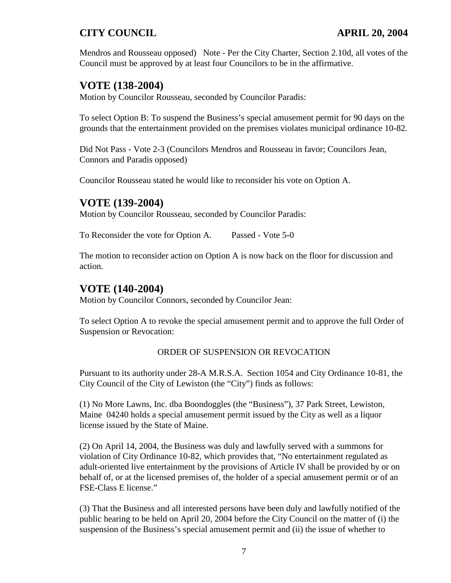Mendros and Rousseau opposed) Note - Per the City Charter, Section 2.10d, all votes of the Council must be approved by at least four Councilors to be in the affirmative.

# **VOTE (138-2004)**

Motion by Councilor Rousseau, seconded by Councilor Paradis:

To select Option B: To suspend the Business's special amusement permit for 90 days on the grounds that the entertainment provided on the premises violates municipal ordinance 10-82.

Did Not Pass - Vote 2-3 (Councilors Mendros and Rousseau in favor; Councilors Jean, Connors and Paradis opposed)

Councilor Rousseau stated he would like to reconsider his vote on Option A.

# **VOTE (139-2004)**

Motion by Councilor Rousseau, seconded by Councilor Paradis:

To Reconsider the vote for Option A. Passed - Vote 5-0

The motion to reconsider action on Option A is now back on the floor for discussion and action.

# **VOTE (140-2004)**

Motion by Councilor Connors, seconded by Councilor Jean:

To select Option A to revoke the special amusement permit and to approve the full Order of Suspension or Revocation:

### ORDER OF SUSPENSION OR REVOCATION

Pursuant to its authority under 28-A M.R.S.A. Section 1054 and City Ordinance 10-81, the City Council of the City of Lewiston (the "City") finds as follows:

(1) No More Lawns, Inc. dba Boondoggles (the "Business"), 37 Park Street, Lewiston, Maine 04240 holds a special amusement permit issued by the City as well as a liquor license issued by the State of Maine.

(2) On April 14, 2004, the Business was duly and lawfully served with a summons for violation of City Ordinance 10-82, which provides that, "No entertainment regulated as adult-oriented live entertainment by the provisions of Article IV shall be provided by or on behalf of, or at the licensed premises of, the holder of a special amusement permit or of an FSE-Class E license."

(3) That the Business and all interested persons have been duly and lawfully notified of the public hearing to be held on April 20, 2004 before the City Council on the matter of (i) the suspension of the Business's special amusement permit and (ii) the issue of whether to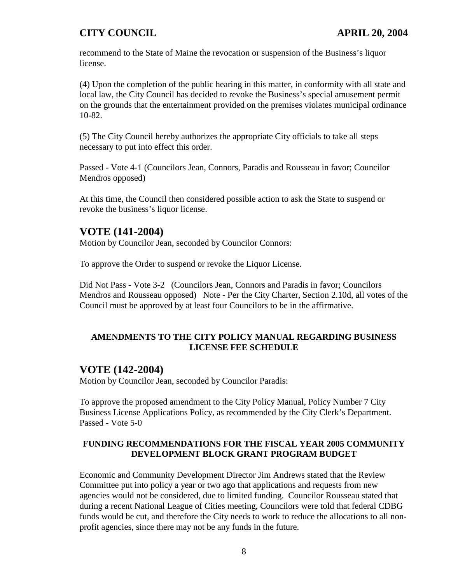recommend to the State of Maine the revocation or suspension of the Business's liquor license.

(4) Upon the completion of the public hearing in this matter, in conformity with all state and local law, the City Council has decided to revoke the Business's special amusement permit on the grounds that the entertainment provided on the premises violates municipal ordinance 10-82.

(5) The City Council hereby authorizes the appropriate City officials to take all steps necessary to put into effect this order.

Passed - Vote 4-1 (Councilors Jean, Connors, Paradis and Rousseau in favor; Councilor Mendros opposed)

At this time, the Council then considered possible action to ask the State to suspend or revoke the business's liquor license.

# **VOTE (141-2004)**

Motion by Councilor Jean, seconded by Councilor Connors:

To approve the Order to suspend or revoke the Liquor License.

Did Not Pass - Vote 3-2 (Councilors Jean, Connors and Paradis in favor; Councilors Mendros and Rousseau opposed) Note - Per the City Charter, Section 2.10d, all votes of the Council must be approved by at least four Councilors to be in the affirmative.

### **AMENDMENTS TO THE CITY POLICY MANUAL REGARDING BUSINESS LICENSE FEE SCHEDULE**

## **VOTE (142-2004)**

Motion by Councilor Jean, seconded by Councilor Paradis:

To approve the proposed amendment to the City Policy Manual, Policy Number 7 City Business License Applications Policy, as recommended by the City Clerk's Department. Passed - Vote 5-0

### **FUNDING RECOMMENDATIONS FOR THE FISCAL YEAR 2005 COMMUNITY DEVELOPMENT BLOCK GRANT PROGRAM BUDGET**

Economic and Community Development Director Jim Andrews stated that the Review Committee put into policy a year or two ago that applications and requests from new agencies would not be considered, due to limited funding. Councilor Rousseau stated that during a recent National League of Cities meeting, Councilors were told that federal CDBG funds would be cut, and therefore the City needs to work to reduce the allocations to all nonprofit agencies, since there may not be any funds in the future.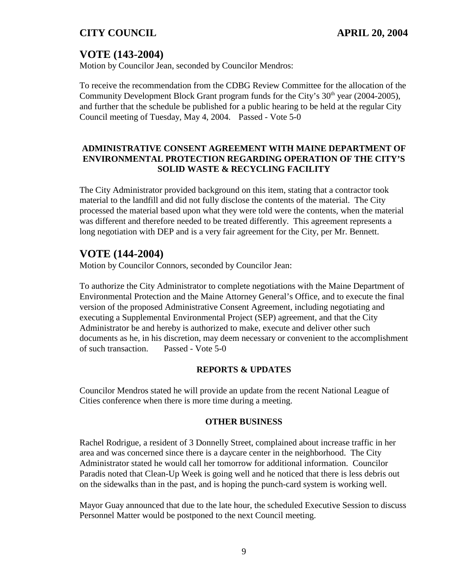# **VOTE (143-2004)**

Motion by Councilor Jean, seconded by Councilor Mendros:

To receive the recommendation from the CDBG Review Committee for the allocation of the Community Development Block Grant program funds for the City's  $30<sup>th</sup>$  year (2004-2005), and further that the schedule be published for a public hearing to be held at the regular City Council meeting of Tuesday, May 4, 2004. Passed - Vote 5-0

### **ADMINISTRATIVE CONSENT AGREEMENT WITH MAINE DEPARTMENT OF ENVIRONMENTAL PROTECTION REGARDING OPERATION OF THE CITY'S SOLID WASTE & RECYCLING FACILITY**

The City Administrator provided background on this item, stating that a contractor took material to the landfill and did not fully disclose the contents of the material. The City processed the material based upon what they were told were the contents, when the material was different and therefore needed to be treated differently. This agreement represents a long negotiation with DEP and is a very fair agreement for the City, per Mr. Bennett.

# **VOTE (144-2004)**

Motion by Councilor Connors, seconded by Councilor Jean:

To authorize the City Administrator to complete negotiations with the Maine Department of Environmental Protection and the Maine Attorney General's Office, and to execute the final version of the proposed Administrative Consent Agreement, including negotiating and executing a Supplemental Environmental Project (SEP) agreement, and that the City Administrator be and hereby is authorized to make, execute and deliver other such documents as he, in his discretion, may deem necessary or convenient to the accomplishment of such transaction. Passed - Vote 5-0

### **REPORTS & UPDATES**

Councilor Mendros stated he will provide an update from the recent National League of Cities conference when there is more time during a meeting.

### **OTHER BUSINESS**

Rachel Rodrigue, a resident of 3 Donnelly Street, complained about increase traffic in her area and was concerned since there is a daycare center in the neighborhood. The City Administrator stated he would call her tomorrow for additional information. Councilor Paradis noted that Clean-Up Week is going well and he noticed that there is less debris out on the sidewalks than in the past, and is hoping the punch-card system is working well.

Mayor Guay announced that due to the late hour, the scheduled Executive Session to discuss Personnel Matter would be postponed to the next Council meeting.